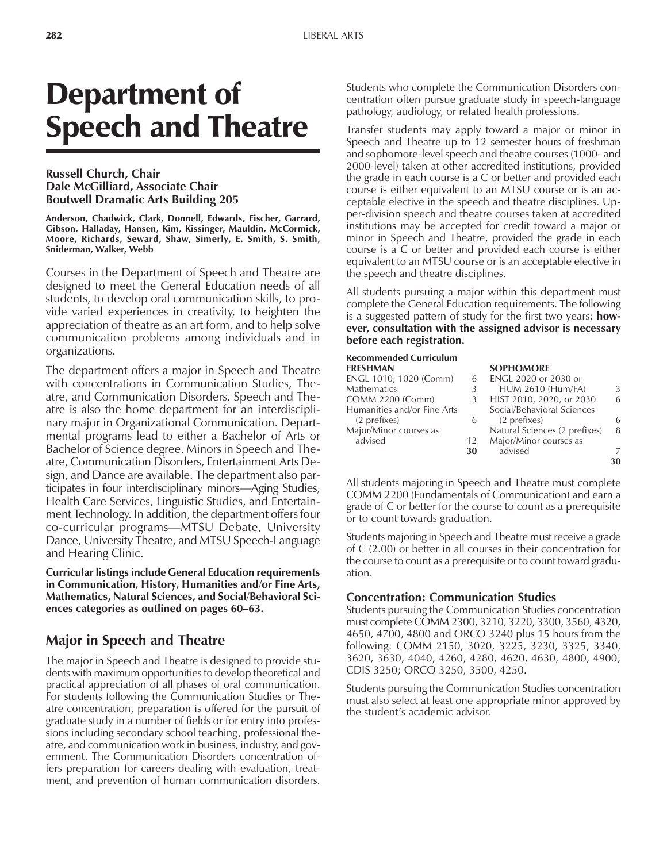# Department of Speech and Theatre

#### **Russell Church, Chair Dale McGilliard, Associate Chair Boutwell Dramatic Arts Building 205**

**Anderson, Chadwick, Clark, Donnell, Edwards, Fischer, Garrard, Gibson, Halladay, Hansen, Kim, Kissinger, Mauldin, McCormick, Moore, Richards, Seward, Shaw, Simerly, E. Smith, S. Smith, Sniderman, Walker, Webb**

Courses in the Department of Speech and Theatre are designed to meet the General Education needs of all students, to develop oral communication skills, to provide varied experiences in creativity, to heighten the appreciation of theatre as an art form, and to help solve communication problems among individuals and in organizations.

The department offers a major in Speech and Theatre with concentrations in Communication Studies, Theatre, and Communication Disorders. Speech and Theatre is also the home department for an interdisciplinary major in Organizational Communication. Departmental programs lead to either a Bachelor of Arts or Bachelor of Science degree. Minors in Speech and Theatre, Communication Disorders, Entertainment Arts Design, and Dance are available. The department also participates in four interdisciplinary minors—Aging Studies, Health Care Services, Linguistic Studies, and Entertainment Technology. In addition, the department offers four co-curricular programs—MTSU Debate, University Dance, University Theatre, and MTSU Speech-Language and Hearing Clinic.

**Curricular listings include General Education requirements in Communication, History, Humanities and/or Fine Arts, Mathematics, Natural Sciences, and Social/Behavioral Sci**ences categories as outlined on pages 60–63.

## **Major in Speech and Theatre**

The major in Speech and Theatre is designed to provide students with maximum opportunities to develop theoretical and practical appreciation of all phases of oral communication. For students following the Communication Studies or Theatre concentration, preparation is offered for the pursuit of graduate study in a number of fields or for entry into professions including secondary school teaching, professional theatre, and communication work in business, industry, and government. The Communication Disorders concentration offers preparation for careers dealing with evaluation, treatment, and prevention of human communication disorders.

Students who complete the Communication Disorders concentration often pursue graduate study in speech-language pathology, audiology, or related health professions.

Transfer students may apply toward a major or minor in Speech and Theatre up to 12 semester hours of freshman and sophomore-level speech and theatre courses (1000- and 2000-level) taken at other accredited institutions, provided the grade in each course is a C or better and provided each course is either equivalent to an MTSU course or is an acceptable elective in the speech and theatre disciplines. Upper-division speech and theatre courses taken at accredited institutions may be accepted for credit toward a major or minor in Speech and Theatre, provided the grade in each course is a C or better and provided each course is either equivalent to an MTSU course or is an acceptable elective in the speech and theatre disciplines.

All students pursuing a major within this department must complete the General Education requirements. The following is a suggested pattern of study for the first two years; **however, consultation with the assigned advisor is necessary before each registration.**

#### **Recommended Curriculum FRESHMAN SOPHOMORE** ENGL 1010, 1020 (Comm) 6 ENGL 2020 or 2030 or Mathematics 3 HUM 2610 (Hum/FA) 3 COMM 2200 (Comm) 3 HIST 2010, 2020, or 2030 6 Humanities and/or Fine Arts Social/Behavioral Sciences<br>(2 prefixes) 6 (2 prefixes) (2 prefixes) 6 (2 prefixes) 6 Major/Minor courses as **Natural Sciences (2 prefixes)** 8 advised 12 Major/Minor courses as **30** advised 7 **30**

All students majoring in Speech and Theatre must complete COMM 2200 (Fundamentals of Communication) and earn a grade of C or better for the course to count as a prerequisite or to count towards graduation.

Students majoring in Speech and Theatre must receive a grade of C (2.00) or better in all courses in their concentration for the course to count as a prerequisite or to count toward graduation.

#### **Concentration: Communication Studies**

Students pursuing the Communication Studies concentration must complete COMM 2300, 3210, 3220, 3300, 3560, 4320, 4650, 4700, 4800 and ORCO 3240 plus 15 hours from the following: COMM 2150, 3020, 3225, 3230, 3325, 3340, 3620, 3630, 4040, 4260, 4280, 4620, 4630, 4800, 4900; CDIS 3250; ORCO 3250, 3500, 4250.

Students pursuing the Communication Studies concentration must also select at least one appropriate minor approved by the student's academic advisor.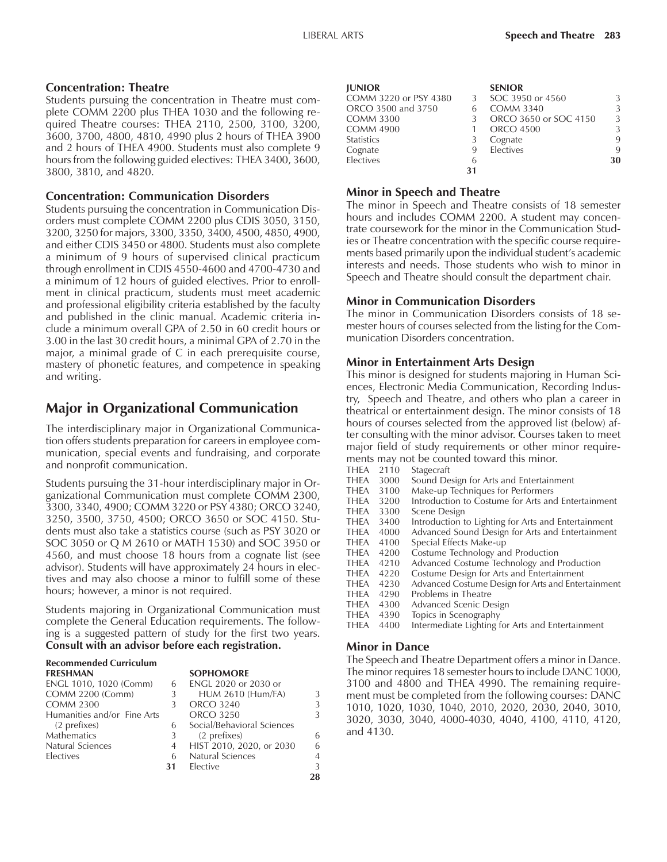#### **Concentration: Theatre**

Students pursuing the concentration in Theatre must complete COMM 2200 plus THEA 1030 and the following required Theatre courses: THEA 2110, 2500, 3100, 3200, 3600, 3700, 4800, 4810, 4990 plus 2 hours of THEA 3900 and 2 hours of THEA 4900. Students must also complete 9 hours from the following guided electives: THEA 3400, 3600, 3800, 3810, and 4820.

#### **Concentration: Communication Disorders**

Students pursuing the concentration in Communication Disorders must complete COMM 2200 plus CDIS 3050, 3150, 3200, 3250 for majors, 3300, 3350, 3400, 4500, 4850, 4900, and either CDIS 3450 or 4800. Students must also complete a minimum of 9 hours of supervised clinical practicum through enrollment in CDIS 4550-4600 and 4700-4730 and a minimum of 12 hours of guided electives. Prior to enrollment in clinical practicum, students must meet academic and professional eligibility criteria established by the faculty and published in the clinic manual. Academic criteria include a minimum overall GPA of 2.50 in 60 credit hours or 3.00 in the last 30 credit hours, a minimal GPA of 2.70 in the major, a minimal grade of C in each prerequisite course, mastery of phonetic features, and competence in speaking and writing.

## **Major in Organizational Communication**

The interdisciplinary major in Organizational Communication offers students preparation for careers in employee communication, special events and fundraising, and corporate and nonprofit communication.

Students pursuing the 31-hour interdisciplinary major in Organizational Communication must complete COMM 2300, 3300, 3340, 4900; COMM 3220 or PSY 4380; ORCO 3240, 3250, 3500, 3750, 4500; ORCO 3650 or SOC 4150. Students must also take a statistics course (such as PSY 3020 or SOC 3050 or Q M 2610 or MATH 1530) and SOC 3950 or 4560, and must choose 18 hours from a cognate list (see advisor). Students will have approximately 24 hours in electives and may also choose a minor to fulfill some of these hours; however, a minor is not required.

Students majoring in Organizational Communication must complete the General Education requirements. The following is a suggested pattern of study for the first two years. **Consult with an advisor before each registration.**

| <b>Recommended Curriculum</b> |    |                            |    |
|-------------------------------|----|----------------------------|----|
| <b>FRESHMAN</b>               |    | <b>SOPHOMORE</b>           |    |
| ENGL 1010, 1020 (Comm)        | 6  | ENGL 2020 or 2030 or       |    |
| <b>COMM 2200 (Comm)</b>       | 3  | <b>HUM 2610 (Hum/FA)</b>   | 3  |
| <b>COMM 2300</b>              |    | ORCO 3240                  | 3  |
| Humanities and/or Fine Arts   |    | <b>ORCO 3250</b>           | 3  |
| (2 prefixes)                  | 6  | Social/Behavioral Sciences |    |
| <b>Mathematics</b>            | 3  | (2 prefixes)               | 6  |
| Natural Sciences              | 4  | HIST 2010, 2020, or 2030   | 6  |
| Electives                     | 6  | Natural Sciences           | 4  |
|                               | 31 | Elective                   | 3  |
|                               |    |                            | 28 |

| <b>JUNIOR</b>         |    | <b>SENIOR</b>         |             |
|-----------------------|----|-----------------------|-------------|
| COMM 3220 or PSY 4380 | 3  | SOC 3950 or 4560      | 3           |
| ORCO 3500 and 3750    | 6  | <b>COMM 3340</b>      | 3           |
| <b>COMM 3300</b>      |    | ORCO 3650 or SOC 4150 | 3           |
| <b>COMM 4900</b>      |    | <b>ORCO 4500</b>      | 3           |
| <b>Statistics</b>     |    | Cognate               | 9           |
| Cognate               | 9  | Electives             | $\mathbf Q$ |
| Electives             | 6  |                       | 30          |
|                       | 31 |                       |             |

### **Minor in Speech and Theatre**

The minor in Speech and Theatre consists of 18 semester hours and includes COMM 2200. A student may concentrate coursework for the minor in the Communication Studies or Theatre concentration with the specific course requirements based primarily upon the individual student's academic interests and needs. Those students who wish to minor in Speech and Theatre should consult the department chair.

### **Minor in Communication Disorders**

The minor in Communication Disorders consists of 18 semester hours of courses selected from the listing for the Communication Disorders concentration.

## **Minor in Entertainment Arts Design**

This minor is designed for students majoring in Human Sciences, Electronic Media Communication, Recording Industry, Speech and Theatre, and others who plan a career in theatrical or entertainment design. The minor consists of 18 hours of courses selected from the approved list (below) after consulting with the minor advisor. Courses taken to meet major field of study requirements or other minor requirements may not be counted toward this minor.

| THEA        | 2110 | Stagecraft                                          |
|-------------|------|-----------------------------------------------------|
| THEA        | 3000 | Sound Design for Arts and Entertainment             |
| THEA        | 3100 | Make-up Techniques for Performers                   |
| THEA        | 3200 | Introduction to Costume for Arts and Entertainment  |
| <b>THEA</b> | 3300 | Scene Design                                        |
| THEA        | 3400 | Introduction to Lighting for Arts and Entertainment |
| <b>THEA</b> | 4000 | Advanced Sound Design for Arts and Entertainment    |
| THEA        | 4100 | Special Effects Make-up                             |
| <b>THEA</b> | 4200 | Costume Technology and Production                   |
| <b>THEA</b> | 4210 | Advanced Costume Technology and Production          |
| THEA        | 4220 | Costume Design for Arts and Entertainment           |
| THEA        | 4230 | Advanced Costume Design for Arts and Entertainment  |
| THEA        | 4290 | Problems in Theatre                                 |
| <b>THEA</b> | 4300 | Advanced Scenic Design                              |
| <b>THEA</b> | 4390 | Topics in Scenography                               |
| <b>THEA</b> | 4400 | Intermediate Lighting for Arts and Entertainment    |
|             |      |                                                     |

### **Minor in Dance**

The Speech and Theatre Department offers a minor in Dance. The minor requires 18 semester hours to include DANC 1000, 3100 and 4800 and THEA 4990. The remaining requirement must be completed from the following courses: DANC 1010, 1020, 1030, 1040, 2010, 2020, 2030, 2040, 3010, 3020, 3030, 3040, 4000-4030, 4040, 4100, 4110, 4120, and 4130.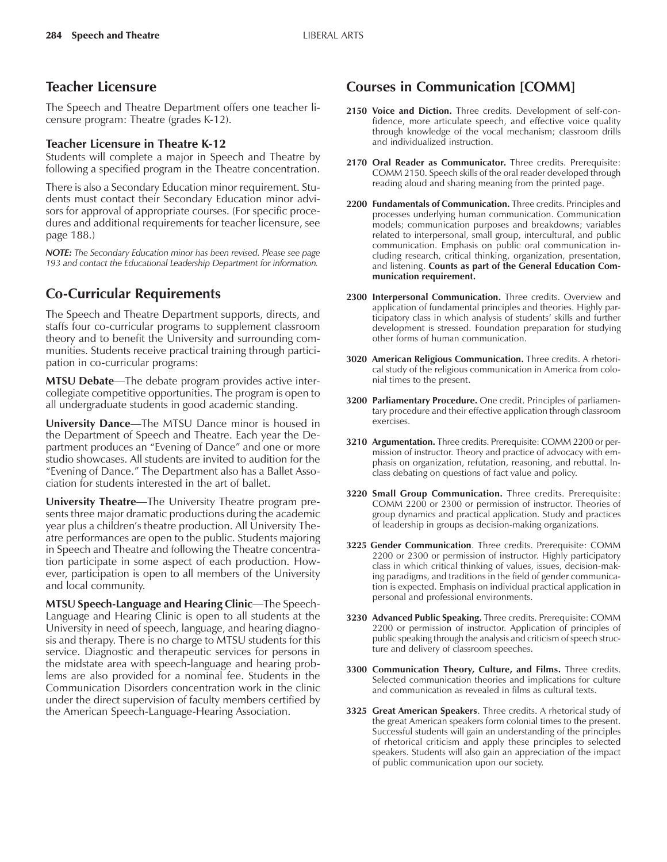## **Teacher Licensure**

The Speech and Theatre Department offers one teacher licensure program: Theatre (grades K-12).

#### **Teacher Licensure in Theatre K-12**

Students will complete a major in Speech and Theatre by following a specified program in the Theatre concentration.

There is also a Secondary Education minor requirement. Students must contact their Secondary Education minor advisors for approval of appropriate courses. (For specific procedures and additional requirements for teacher licensure, see page 188.)

*NOTE: The Secondary Education minor has been revised. Please see page 193 and contact the Educational Leadership Department for information.*

## **Co-Curricular Requirements**

The Speech and Theatre Department supports, directs, and staffs four co-curricular programs to supplement classroom theory and to benefit the University and surrounding communities. Students receive practical training through participation in co-curricular programs:

**MTSU Debate—The debate program provides active inter**collegiate competitive opportunities. The program is open to all undergraduate students in good academic standing.

**University Dance**—The MTSU Dance minor is housed in the Department of Speech and Theatre. Each year the Department produces an "Evening of Dance" and one or more studio showcases. All students are invited to audition for the "Evening of Dance." The Department also has a Ballet Association for students interested in the art of ballet.

**University Theatre—The University Theatre program pre**sents three major dramatic productions during the academic year plus a children's theatre production. All University Theatre performances are open to the public. Students majoring in Speech and Theatre and following the Theatre concentration participate in some aspect of each production. However, participation is open to all members of the University and local community.

**MTSU Speech-Language and Hearing Clinic—The Speech-**Language and Hearing Clinic is open to all students at the University in need of speech, language, and hearing diagnosis and therapy. There is no charge to MTSU students for this service. Diagnostic and therapeutic services for persons in the midstate area with speech-language and hearing problems are also provided for a nominal fee. Students in the Communication Disorders concentration work in the clinic under the direct supervision of faculty members certified by the American Speech-Language-Hearing Association.

## **Courses in Communication [COMM]**

- **2150 Voice and Diction.** Three credits. Development of self-confidence, more articulate speech, and effective voice quality through knowledge of the vocal mechanism; classroom drills and individualized instruction.
- **2170 Oral Reader as Communicator.** Three credits. Prerequisite: COMM 2150. Speech skills of the oral reader developed through reading aloud and sharing meaning from the printed page.
- **2200 Fundamentals of Communication.** Three credits. Principles and processes underlying human communication. Communication models; communication purposes and breakdowns; variables related to interpersonal, small group, intercultural, and public communication. Emphasis on public oral communication including research, critical thinking, organization, presentation, and listening. **Counts as part of the General Education Communication requirement.**
- **2300 Interpersonal Communication.** Three credits. Overview and application of fundamental principles and theories. Highly participatory class in which analysis of students' skills and further development is stressed. Foundation preparation for studying other forms of human communication.
- **3020 American Religious Communication.** Three credits. A rhetorical study of the religious communication in America from colonial times to the present.
- **3200 Parliamentary Procedure.** One credit. Principles of parliamentary procedure and their effective application through classroom exercises.
- **3210 Argumentation.** Three credits. Prerequisite: COMM 2200 or permission of instructor. Theory and practice of advocacy with emphasis on organization, refutation, reasoning, and rebuttal. Inclass debating on questions of fact value and policy.
- **3220 Small Group Communication.** Three credits. Prerequisite: COMM 2200 or 2300 or permission of instructor. Theories of group dynamics and practical application. Study and practices of leadership in groups as decision-making organizations.
- **3225 Gender Communication**. Three credits. Prerequisite: COMM 2200 or 2300 or permission of instructor. Highly participatory class in which critical thinking of values, issues, decision-making paradigms, and traditions in the field of gender communication is expected. Emphasis on individual practical application in personal and professional environments.
- **3230 Advanced Public Speaking.** Three credits. Prerequisite: COMM 2200 or permission of instructor. Application of principles of public speaking through the analysis and criticism of speech structure and delivery of classroom speeches.
- **3300 Communication Theory, Culture, and Films.** Three credits. Selected communication theories and implications for culture and communication as revealed in films as cultural texts.
- **3325 Great American Speakers**. Three credits. A rhetorical study of the great American speakers form colonial times to the present. Successful students will gain an understanding of the principles of rhetorical criticism and apply these principles to selected speakers. Students will also gain an appreciation of the impact of public communication upon our society.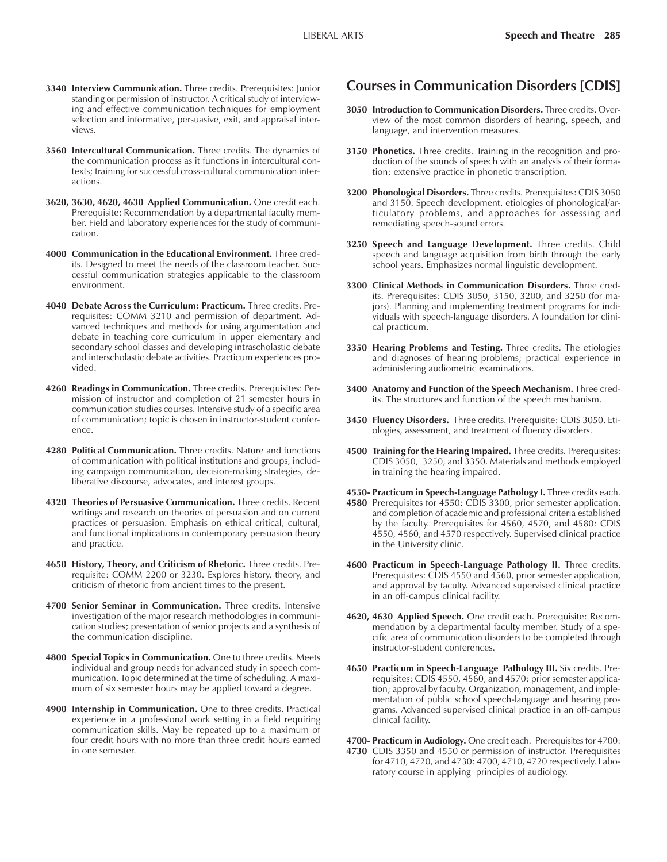- **3340 Interview Communication.** Three credits. Prerequisites: Junior standing or permission of instructor. A critical study of interviewing and effective communication techniques for employment selection and informative, persuasive, exit, and appraisal interviews.
- **3560 Intercultural Communication.** Three credits. The dynamics of the communication process as it functions in intercultural contexts; training for successful cross-cultural communication interactions.
- **3620, 3630, 4620, 4630 Applied Communication.** One credit each. Prerequisite: Recommendation by a departmental faculty member. Field and laboratory experiences for the study of communication.
- **4000 Communication in the Educational Environment.** Three credits. Designed to meet the needs of the classroom teacher. Successful communication strategies applicable to the classroom environment.
- **4040 Debate Across the Curriculum: Practicum.** Three credits. Prerequisites: COMM 3210 and permission of department. Advanced techniques and methods for using argumentation and debate in teaching core curriculum in upper elementary and secondary school classes and developing intrascholastic debate and interscholastic debate activities. Practicum experiences provided.
- **4260 Readings in Communication.** Three credits. Prerequisites: Permission of instructor and completion of 21 semester hours in communication studies courses. Intensive study of a specific area of communication; topic is chosen in instructor-student conference.
- **4280 Political Communication.** Three credits. Nature and functions of communication with political institutions and groups, including campaign communication, decision-making strategies, deliberative discourse, advocates, and interest groups.
- **4320 Theories of Persuasive Communication.** Three credits. Recent writings and research on theories of persuasion and on current practices of persuasion. Emphasis on ethical critical, cultural, and functional implications in contemporary persuasion theory and practice.
- **4650 History, Theory, and Criticism of Rhetoric.** Three credits. Prerequisite: COMM 2200 or 3230. Explores history, theory, and criticism of rhetoric from ancient times to the present.
- **4700 Senior Seminar in Communication.** Three credits. Intensive investigation of the major research methodologies in communication studies; presentation of senior projects and a synthesis of the communication discipline.
- **4800 Special Topics in Communication.** One to three credits. Meets individual and group needs for advanced study in speech communication. Topic determined at the time of scheduling. A maximum of six semester hours may be applied toward a degree.
- **4900 Internship in Communication.** One to three credits. Practical experience in a professional work setting in a field requiring communication skills. May be repeated up to a maximum of four credit hours with no more than three credit hours earned in one semester.

## **Courses in Communication Disorders [CDIS]**

- **3050 Introduction to Communication Disorders.** Three credits. Overview of the most common disorders of hearing, speech, and language, and intervention measures.
- **3150 Phonetics.** Three credits. Training in the recognition and production of the sounds of speech with an analysis of their formation; extensive practice in phonetic transcription.
- **3200 Phonological Disorders.** Three credits. Prerequisites: CDIS 3050 and 3150. Speech development, etiologies of phonological/articulatory problems, and approaches for assessing and remediating speech-sound errors.
- **3250 Speech and Language Development.** Three credits. Child speech and language acquisition from birth through the early school years. Emphasizes normal linguistic development.
- **3300 Clinical Methods in Communication Disorders.** Three credits. Prerequisites: CDIS 3050, 3150, 3200, and 3250 (for majors). Planning and implementing treatment programs for individuals with speech-language disorders. A foundation for clinical practicum.
- **3350 Hearing Problems and Testing.** Three credits. The etiologies and diagnoses of hearing problems; practical experience in administering audiometric examinations.
- **3400 Anatomy and Function of the Speech Mechanism.** Three credits. The structures and function of the speech mechanism.
- **3450 Fluency Disorders.** Three credits. Prerequisite: CDIS 3050. Etiologies, assessment, and treatment of fluency disorders.
- **4500 Training for the Hearing Impaired.** Three credits. Prerequisites: CDIS 3050, 3250, and 3350. Materials and methods employed in training the hearing impaired.
- **4550- Practicum in Speech-Language Pathology I.** Three credits each. **4580** Prerequisites for 4550: CDIS 3300, prior semester application, and completion of academic and professional criteria established by the faculty. Prerequisites for 4560, 4570, and 4580: CDIS 4550, 4560, and 4570 respectively. Supervised clinical practice in the University clinic.
- **4600 Practicum in Speech-Language Pathology II.** Three credits. Prerequisites: CDIS 4550 and 4560, prior semester application, and approval by faculty. Advanced supervised clinical practice in an off-campus clinical facility.
- **4620, 4630 Applied Speech.** One credit each. Prerequisite: Recommendation by a departmental faculty member. Study of a specific area of communication disorders to be completed through instructor-student conferences.
- **4650 Practicum in Speech-Language Pathology III.** Six credits. Prerequisites: CDIS 4550, 4560, and 4570; prior semester application; approval by faculty. Organization, management, and implementation of public school speech-language and hearing programs. Advanced supervised clinical practice in an off-campus clinical facility.

**4700- Practicum in Audiology.** One credit each. Prerequisites for 4700: **4730** CDIS 3350 and 4550 or permission of instructor. Prerequisites for 4710, 4720, and 4730: 4700, 4710, 4720 respectively. Laboratory course in applying principles of audiology.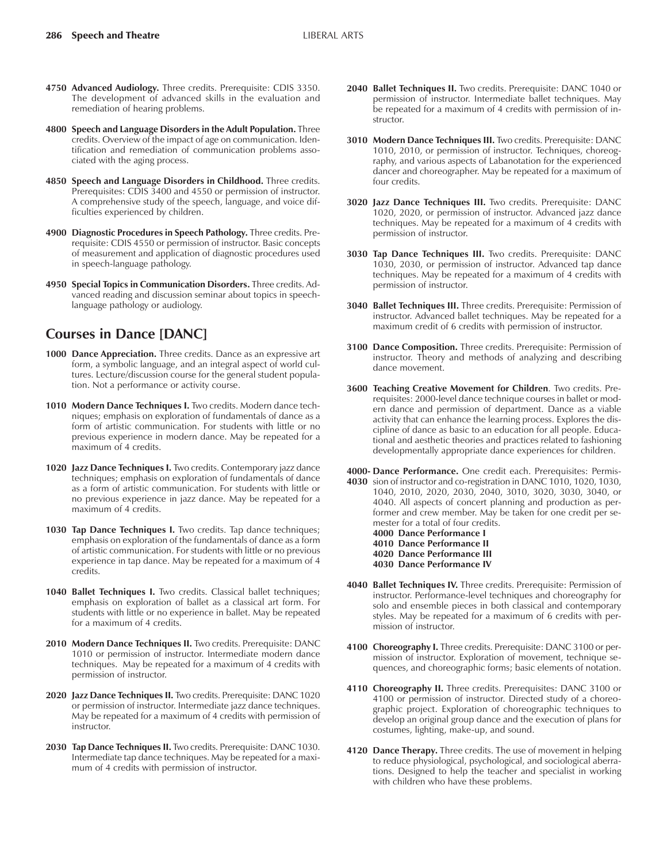- **4750 Advanced Audiology.** Three credits. Prerequisite: CDIS 3350. The development of advanced skills in the evaluation and remediation of hearing problems.
- **4800 Speech and Language Disorders in the Adult Population.** Three credits. Overview of the impact of age on communication. Identification and remediation of communication problems associated with the aging process.
- **4850 Speech and Language Disorders in Childhood.** Three credits. Prerequisites: CDIS 3400 and 4550 or permission of instructor. A comprehensive study of the speech, language, and voice difficulties experienced by children.
- **4900 Diagnostic Procedures in Speech Pathology.** Three credits. Prerequisite: CDIS 4550 or permission of instructor. Basic concepts of measurement and application of diagnostic procedures used in speech-language pathology.
- **4950 Special Topics in Communication Disorders.** Three credits. Advanced reading and discussion seminar about topics in speechlanguage pathology or audiology.

## **Courses in Dance [DANC]**

- **1000 Dance Appreciation.** Three credits. Dance as an expressive art form, a symbolic language, and an integral aspect of world cultures. Lecture/discussion course for the general student population. Not a performance or activity course.
- **1010 Modern Dance Techniques I.** Two credits. Modern dance techniques; emphasis on exploration of fundamentals of dance as a form of artistic communication. For students with little or no previous experience in modern dance. May be repeated for a maximum of 4 credits.
- **1020 Jazz Dance Techniques I.** Two credits. Contemporary jazz dance techniques; emphasis on exploration of fundamentals of dance as a form of artistic communication. For students with little or no previous experience in jazz dance. May be repeated for a maximum of 4 credits.
- **1030 Tap Dance Techniques I.** Two credits. Tap dance techniques; emphasis on exploration of the fundamentals of dance as a form of artistic communication. For students with little or no previous experience in tap dance. May be repeated for a maximum of 4 credits.
- **1040 Ballet Techniques I.** Two credits. Classical ballet techniques; emphasis on exploration of ballet as a classical art form. For students with little or no experience in ballet. May be repeated for a maximum of 4 credits.
- **2010 Modern Dance Techniques II.** Two credits. Prerequisite: DANC 1010 or permission of instructor. Intermediate modern dance techniques. May be repeated for a maximum of 4 credits with permission of instructor.
- **2020 Jazz Dance Techniques II.** Two credits. Prerequisite: DANC 1020 or permission of instructor. Intermediate jazz dance techniques. May be repeated for a maximum of 4 credits with permission of instructor.
- **2030 Tap Dance Techniques II.** Two credits. Prerequisite: DANC 1030. Intermediate tap dance techniques. May be repeated for a maximum of 4 credits with permission of instructor.
- **2040 Ballet Techniques II.** Two credits. Prerequisite: DANC 1040 or permission of instructor. Intermediate ballet techniques. May be repeated for a maximum of 4 credits with permission of instructor.
- **3010 Modern Dance Techniques III.** Two credits. Prerequisite: DANC 1010, 2010, or permission of instructor. Techniques, choreography, and various aspects of Labanotation for the experienced dancer and choreographer. May be repeated for a maximum of four credits.
- **3020 Jazz Dance Techniques III.** Two credits. Prerequisite: DANC 1020, 2020, or permission of instructor. Advanced jazz dance techniques. May be repeated for a maximum of 4 credits with permission of instructor.
- **3030 Tap Dance Techniques III.** Two credits. Prerequisite: DANC 1030, 2030, or permission of instructor. Advanced tap dance techniques. May be repeated for a maximum of 4 credits with permission of instructor.
- **3040 Ballet Techniques III.** Three credits. Prerequisite: Permission of instructor. Advanced ballet techniques. May be repeated for a maximum credit of 6 credits with permission of instructor.
- **3100 Dance Composition.** Three credits. Prerequisite: Permission of instructor. Theory and methods of analyzing and describing dance movement.
- **3600 Teaching Creative Movement for Children**. Two credits. Prerequisites: 2000-level dance technique courses in ballet or modern dance and permission of department. Dance as a viable activity that can enhance the learning process. Explores the discipline of dance as basic to an education for all people. Educational and aesthetic theories and practices related to fashioning developmentally appropriate dance experiences for children.
- **4000- Dance Performance.** One credit each. Prerequisites: Permis-**4030** sion of instructor and co-registration in DANC 1010, 1020, 1030, 1040, 2010, 2020, 2030, 2040, 3010, 3020, 3030, 3040, or 4040. All aspects of concert planning and production as performer and crew member. May be taken for one credit per semester for a total of four credits.
	- **4000 Dance Performance I 4010 Dance Performance II**
	- **4020 Dance Performance III**
	- **4030 Dance Performance IV**
- **4040 Ballet Techniques IV.** Three credits. Prerequisite: Permission of instructor. Performance-level techniques and choreography for solo and ensemble pieces in both classical and contemporary styles. May be repeated for a maximum of 6 credits with permission of instructor.
- **4100 Choreography I.** Three credits. Prerequisite: DANC 3100 or permission of instructor. Exploration of movement, technique sequences, and choreographic forms; basic elements of notation.
- **4110 Choreography II.** Three credits. Prerequisites: DANC 3100 or 4100 or permission of instructor. Directed study of a choreographic project. Exploration of choreographic techniques to develop an original group dance and the execution of plans for costumes, lighting, make-up, and sound.
- **4120 Dance Therapy.** Three credits. The use of movement in helping to reduce physiological, psychological, and sociological aberrations. Designed to help the teacher and specialist in working with children who have these problems.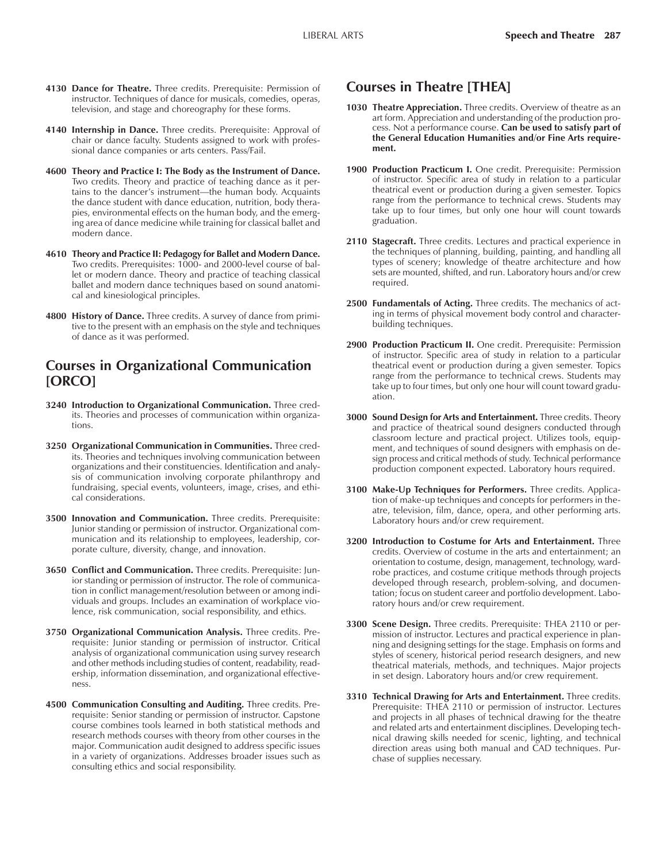- **4130 Dance for Theatre.** Three credits. Prerequisite: Permission of instructor. Techniques of dance for musicals, comedies, operas, television, and stage and choreography for these forms.
- **4140 Internship in Dance.** Three credits. Prerequisite: Approval of chair or dance faculty. Students assigned to work with professional dance companies or arts centers. Pass/Fail.
- **4600 Theory and Practice I: The Body as the Instrument of Dance.** Two credits. Theory and practice of teaching dance as it pertains to the dancer's instrument—the human body. Acquaints the dance student with dance education, nutrition, body therapies, environmental effects on the human body, and the emerging area of dance medicine while training for classical ballet and modern dance.
- **4610 Theory and Practice II: Pedagogy for Ballet and Modern Dance.** Two credits. Prerequisites: 1000- and 2000-level course of ballet or modern dance. Theory and practice of teaching classical ballet and modern dance techniques based on sound anatomical and kinesiological principles.
- **4800 History of Dance.** Three credits. A survey of dance from primitive to the present with an emphasis on the style and techniques of dance as it was performed.

## **Courses in Organizational Communication [ORCO]**

- **3240 Introduction to Organizational Communication.** Three credits. Theories and processes of communication within organizations.
- **3250 Organizational Communication in Communities.** Three credits. Theories and techniques involving communication between organizations and their constituencies. Identification and analysis of communication involving corporate philanthropy and fundraising, special events, volunteers, image, crises, and ethical considerations.
- **3500 Innovation and Communication.** Three credits. Prerequisite: Junior standing or permission of instructor. Organizational communication and its relationship to employees, leadership, corporate culture, diversity, change, and innovation.
- **3650 Conflict and Communication.** Three credits. Prerequisite: Junior standing or permission of instructor. The role of communication in conflict management/resolution between or among individuals and groups. Includes an examination of workplace violence, risk communication, social responsibility, and ethics.
- **3750 Organizational Communication Analysis.** Three credits. Prerequisite: Junior standing or permission of instructor. Critical analysis of organizational communication using survey research and other methods including studies of content, readability, readership, information dissemination, and organizational effectiveness.
- **4500 Communication Consulting and Auditing.** Three credits. Prerequisite: Senior standing or permission of instructor. Capstone course combines tools learned in both statistical methods and research methods courses with theory from other courses in the major. Communication audit designed to address specific issues in a variety of organizations. Addresses broader issues such as consulting ethics and social responsibility.

## **Courses in Theatre [THEA]**

- **1030 Theatre Appreciation.** Three credits. Overview of theatre as an art form. Appreciation and understanding of the production process. Not a performance course. **Can be used to satisfy part of the General Education Humanities and/or Fine Arts requirement.**
- **1900 Production Practicum I.** One credit. Prerequisite: Permission of instructor. Specific area of study in relation to a particular theatrical event or production during a given semester. Topics range from the performance to technical crews. Students may take up to four times, but only one hour will count towards graduation.
- **2110 Stagecraft.** Three credits. Lectures and practical experience in the techniques of planning, building, painting, and handling all types of scenery; knowledge of theatre architecture and how sets are mounted, shifted, and run. Laboratory hours and/or crew required.
- **2500 Fundamentals of Acting.** Three credits. The mechanics of acting in terms of physical movement body control and characterbuilding techniques.
- **2900 Production Practicum II.** One credit. Prerequisite: Permission of instructor. Specific area of study in relation to a particular theatrical event or production during a given semester. Topics range from the performance to technical crews. Students may take up to four times, but only one hour will count toward graduation.
- **3000 Sound Design for Arts and Entertainment.** Three credits. Theory and practice of theatrical sound designers conducted through classroom lecture and practical project. Utilizes tools, equipment, and techniques of sound designers with emphasis on design process and critical methods of study. Technical performance production component expected. Laboratory hours required.
- **3100 Make-Up Techniques for Performers.** Three credits. Application of make-up techniques and concepts for performers in theatre, television, film, dance, opera, and other performing arts. Laboratory hours and/or crew requirement.
- **3200 Introduction to Costume for Arts and Entertainment.** Three credits. Overview of costume in the arts and entertainment; an orientation to costume, design, management, technology, wardrobe practices, and costume critique methods through projects developed through research, problem-solving, and documentation; focus on student career and portfolio development. Laboratory hours and/or crew requirement.
- **3300 Scene Design.** Three credits. Prerequisite: THEA 2110 or permission of instructor. Lectures and practical experience in planning and designing settings for the stage. Emphasis on forms and styles of scenery, historical period research designers, and new theatrical materials, methods, and techniques. Major projects in set design. Laboratory hours and/or crew requirement.
- **3310 Technical Drawing for Arts and Entertainment.** Three credits. Prerequisite: THEA 2110 or permission of instructor. Lectures and projects in all phases of technical drawing for the theatre and related arts and entertainment disciplines. Developing technical drawing skills needed for scenic, lighting, and technical direction areas using both manual and CAD techniques. Purchase of supplies necessary.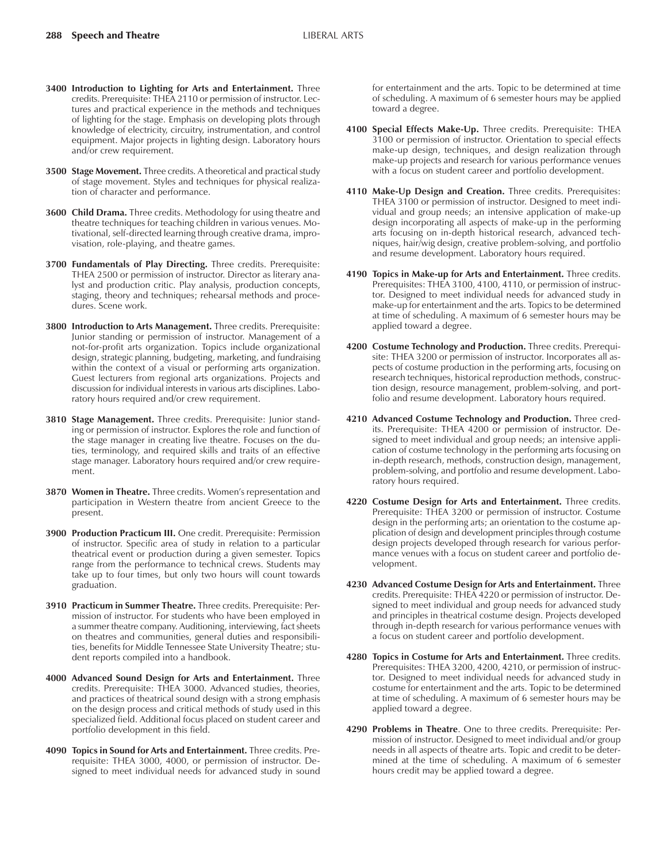- **3400 Introduction to Lighting for Arts and Entertainment.** Three credits. Prerequisite: THEA 2110 or permission of instructor. Lectures and practical experience in the methods and techniques of lighting for the stage. Emphasis on developing plots through knowledge of electricity, circuitry, instrumentation, and control equipment. Major projects in lighting design. Laboratory hours and/or crew requirement.
- **3500 Stage Movement.** Three credits. A theoretical and practical study of stage movement. Styles and techniques for physical realization of character and performance.
- **3600 Child Drama.** Three credits. Methodology for using theatre and theatre techniques for teaching children in various venues. Motivational, self-directed learning through creative drama, improvisation, role-playing, and theatre games.
- **3700 Fundamentals of Play Directing.** Three credits. Prerequisite: THEA 2500 or permission of instructor. Director as literary analyst and production critic. Play analysis, production concepts, staging, theory and techniques; rehearsal methods and procedures. Scene work.
- **3800 Introduction to Arts Management.** Three credits. Prerequisite: Junior standing or permission of instructor. Management of a not-for-profit arts organization. Topics include organizational design, strategic planning, budgeting, marketing, and fundraising within the context of a visual or performing arts organization. Guest lecturers from regional arts organizations. Projects and discussion for individual interests in various arts disciplines. Laboratory hours required and/or crew requirement.
- **3810 Stage Management.** Three credits. Prerequisite: Junior standing or permission of instructor. Explores the role and function of the stage manager in creating live theatre. Focuses on the duties, terminology, and required skills and traits of an effective stage manager. Laboratory hours required and/or crew requirement.
- **3870 Women in Theatre.** Three credits. Womenís representation and participation in Western theatre from ancient Greece to the present.
- **3900 Production Practicum III.** One credit. Prerequisite: Permission of instructor. Specific area of study in relation to a particular theatrical event or production during a given semester. Topics range from the performance to technical crews. Students may take up to four times, but only two hours will count towards graduation.
- **3910 Practicum in Summer Theatre.** Three credits. Prerequisite: Permission of instructor. For students who have been employed in a summer theatre company. Auditioning, interviewing, fact sheets on theatres and communities, general duties and responsibilities, benefits for Middle Tennessee State University Theatre; student reports compiled into a handbook.
- **4000 Advanced Sound Design for Arts and Entertainment.** Three credits. Prerequisite: THEA 3000. Advanced studies, theories, and practices of theatrical sound design with a strong emphasis on the design process and critical methods of study used in this specialized field. Additional focus placed on student career and portfolio development in this field.
- **4090 Topics in Sound for Arts and Entertainment.** Three credits. Prerequisite: THEA 3000, 4000, or permission of instructor. Designed to meet individual needs for advanced study in sound

for entertainment and the arts. Topic to be determined at time of scheduling. A maximum of 6 semester hours may be applied toward a degree.

- **4100 Special Effects Make-Up.** Three credits. Prerequisite: THEA 3100 or permission of instructor. Orientation to special effects make-up design, techniques, and design realization through make-up projects and research for various performance venues with a focus on student career and portfolio development.
- **4110 Make-Up Design and Creation.** Three credits. Prerequisites: THEA 3100 or permission of instructor. Designed to meet individual and group needs; an intensive application of make-up design incorporating all aspects of make-up in the performing arts focusing on in-depth historical research, advanced techniques, hair/wig design, creative problem-solving, and portfolio and resume development. Laboratory hours required.
- **4190 Topics in Make-up for Arts and Entertainment.** Three credits. Prerequisites: THEA 3100, 4100, 4110, or permission of instructor. Designed to meet individual needs for advanced study in make-up for entertainment and the arts. Topics to be determined at time of scheduling. A maximum of 6 semester hours may be applied toward a degree.
- **4200 Costume Technology and Production.** Three credits. Prerequisite: THEA 3200 or permission of instructor. Incorporates all aspects of costume production in the performing arts, focusing on research techniques, historical reproduction methods, construction design, resource management, problem-solving, and portfolio and resume development. Laboratory hours required.
- **4210 Advanced Costume Technology and Production.** Three credits. Prerequisite: THEA 4200 or permission of instructor. Designed to meet individual and group needs; an intensive application of costume technology in the performing arts focusing on in-depth research, methods, construction design, management, problem-solving, and portfolio and resume development. Laboratory hours required.
- **4220 Costume Design for Arts and Entertainment.** Three credits. Prerequisite: THEA 3200 or permission of instructor. Costume design in the performing arts; an orientation to the costume application of design and development principles through costume design projects developed through research for various performance venues with a focus on student career and portfolio development.
- **4230 Advanced Costume Design for Arts and Entertainment.** Three credits. Prerequisite: THEA 4220 or permission of instructor. Designed to meet individual and group needs for advanced study and principles in theatrical costume design. Projects developed through in-depth research for various performance venues with a focus on student career and portfolio development.
- **4280 Topics in Costume for Arts and Entertainment.** Three credits. Prerequisites: THEA 3200, 4200, 4210, or permission of instructor. Designed to meet individual needs for advanced study in costume for entertainment and the arts. Topic to be determined at time of scheduling. A maximum of 6 semester hours may be applied toward a degree.
- **4290 Problems in Theatre**. One to three credits. Prerequisite: Permission of instructor. Designed to meet individual and/or group needs in all aspects of theatre arts. Topic and credit to be determined at the time of scheduling. A maximum of 6 semester hours credit may be applied toward a degree.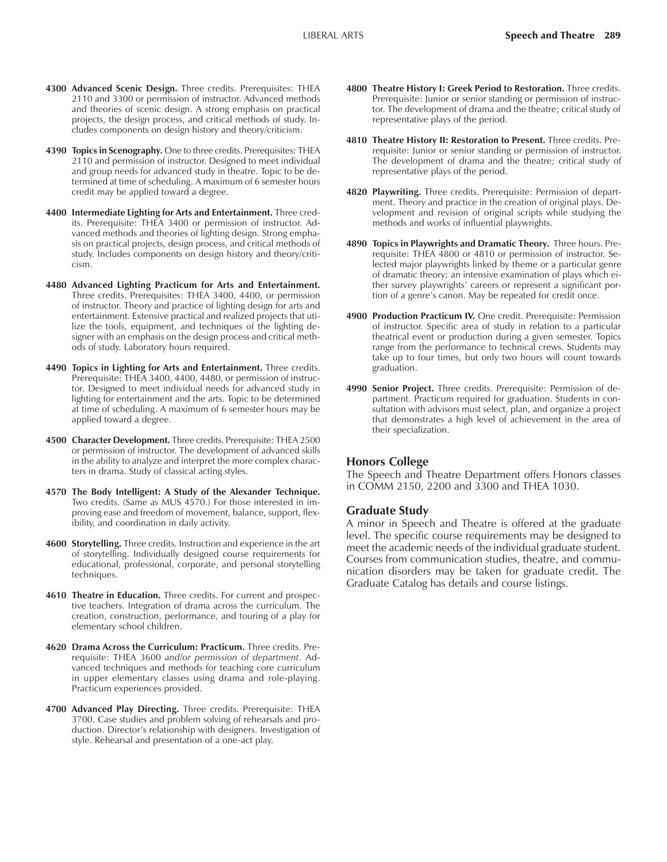- **4300 Advanced Scenic Design.** Three credits. Prerequisites: THEA 2110 and 3300 or permission of instructor. Advanced methods and theories of scenic design. A strong emphasis on practical projects, the design process, and critical methods of study. Includes components on design history and theory/criticism.
- **4390 Topics in Scenography.** One to three credits. Prerequisites: THEA 2110 and permission of instructor. Designed to meet individual and group needs for advanced study in theatre. Topic to be determined at time of scheduling. A maximum of 6 semester hours credit may be applied toward a degree.
- **4400 Intermediate Lighting for Arts and Entertainment.** Three credits. Prerequisite: THEA 3400 or permission of instructor. Advanced methods and theories of lighting design. Strong emphasis on practical projects, design process, and critical methods of study. Includes components on design history and theory/criticism.
- **4480 Advanced Lighting Practicum for Arts and Entertainment.** Three credits. Prerequisites: THEA 3400, 4400, or permission of instructor. Theory and practice of lighting design for arts and entertainment. Extensive practical and realized projects that utilize the tools, equipment, and techniques of the lighting designer with an emphasis on the design process and critical methods of study. Laboratory hours required.
- **4490 Topics in Lighting for Arts and Entertainment.** Three credits. Prerequisite: THEA 3400, 4400, 4480, or permission of instructor. Designed to meet individual needs for advanced study in lighting for entertainment and the arts. Topic to be determined at time of scheduling. A maximum of 6 semester hours may be applied toward a degree.
- **4500 Character Development.** Three credits. Prerequisite: THEA 2500 or permission of instructor. The development of advanced skills in the ability to analyze and interpret the more complex characters in drama. Study of classical acting styles.
- **4570 The Body Intelligent: A Study of the Alexander Technique.** Two credits. (Same as MUS 4570.) For those interested in improving ease and freedom of movement, balance, support, flexibility, and coordination in daily activity.
- **4600 Storytelling.** Three credits. Instruction and experience in the art of storytelling. Individually designed course requirements for educational, professional, corporate, and personal storytelling techniques.
- **4610 Theatre in Education.** Three credits. For current and prospective teachers. Integration of drama across the curriculum. The creation, construction, performance, and touring of a play for elementary school children.
- **4620 Drama Across the Curriculum: Practicum.** Three credits. Prerequisite: THEA 3600 *and/or permission of department.* Advanced techniques and methods for teaching core curriculum in upper elementary classes using drama and role-playing. Practicum experiences provided.
- **4700 Advanced Play Directing.** Three credits. Prerequisite: THEA 3700. Case studies and problem solving of rehearsals and production. Director's relationship with designers. Investigation of style. Rehearsal and presentation of a one-act play.
- **4800 Theatre History I: Greek Period to Restoration.** Three credits. Prerequisite: Junior or senior standing or permission of instructor. The development of drama and the theatre; critical study of representative plays of the period.
- **4810 Theatre History II: Restoration to Present.** Three credits. Prerequisite: Junior or senior standing or permission of instructor. The development of drama and the theatre; critical study of representative plays of the period.
- **4820 Playwriting.** Three credits. Prerequisite: Permission of department. Theory and practice in the creation of original plays. Development and revision of original scripts while studying the methods and works of influential playwrights.
- **4890 Topics in Playwrights and Dramatic Theory.** Three hours. Prerequisite: THEA 4800 or 4810 or permission of instructor. Selected major playwrights linked by theme or a particular genre of dramatic theory; an intensive examination of plays which either survey playwrights' careers or represent a significant portion of a genre's canon. May be repeated for credit once.
- **4900 Production Practicum IV.** One credit. Prerequisite: Permission of instructor. Specific area of study in relation to a particular theatrical event or production during a given semester. Topics range from the performance to technical crews. Students may take up to four times, but only two hours will count towards graduation.
- **4990 Senior Project.** Three credits. Prerequisite: Permission of department. Practicum required for graduation. Students in consultation with advisors must select, plan, and organize a project that demonstrates a high level of achievement in the area of their specialization.

#### **Honors College**

The Speech and Theatre Department offers Honors classes in COMM 2150, 2200 and 3300 and THEA 1030.

#### **Graduate Study**

A minor in Speech and Theatre is offered at the graduate level. The specific course requirements may be designed to meet the academic needs of the individual graduate student. Courses from communication studies, theatre, and communication disorders may be taken for graduate credit. The Graduate Catalog has details and course listings.